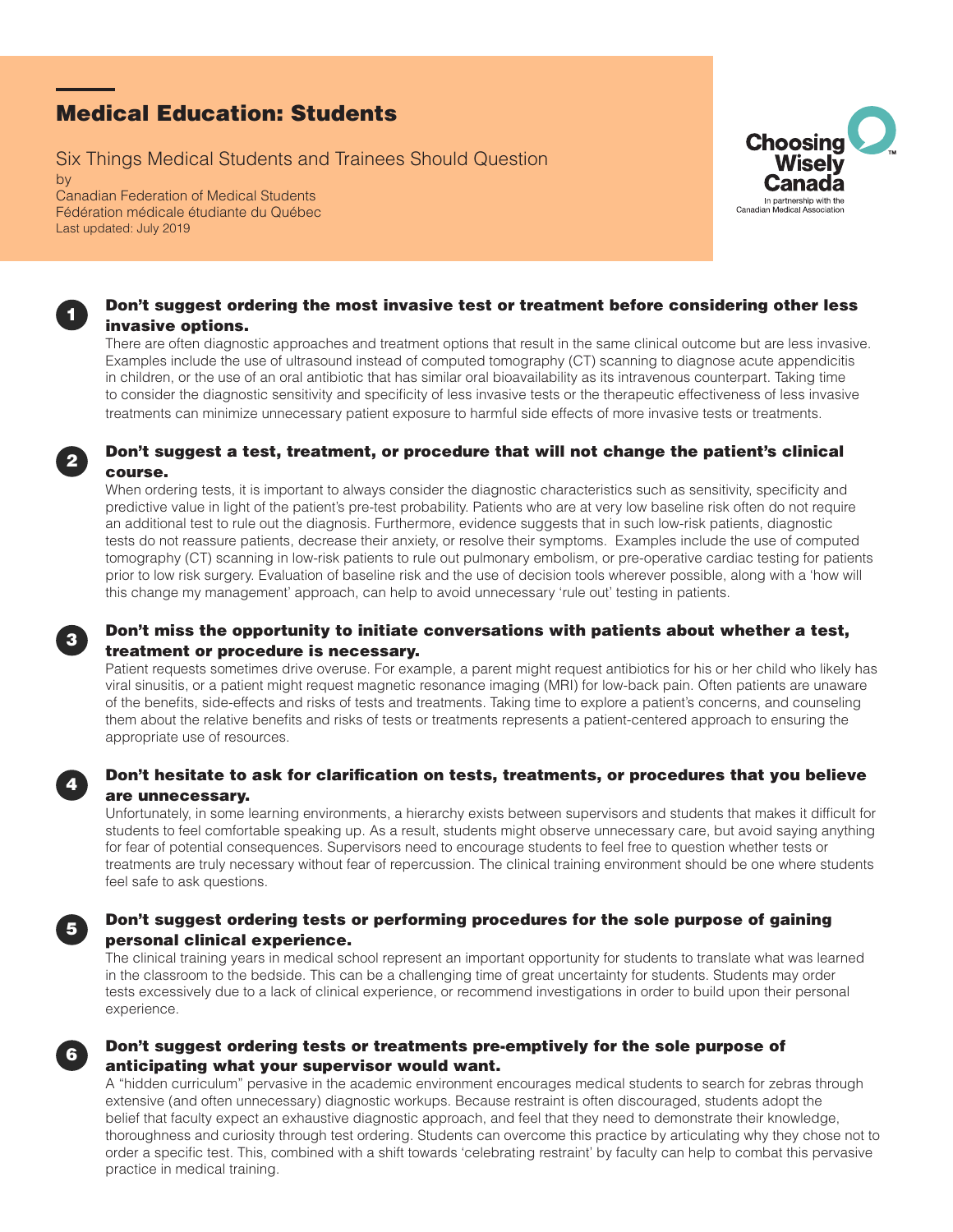# Medical Education: Students

Six Things Medical Students and Trainees Should Question

by Canadian Federation of Medical Students Fédération médicale étudiante du Québec Last updated: July 2019



### Don't suggest ordering the most invasive test or treatment before considering other less invasive options.

There are often diagnostic approaches and treatment options that result in the same clinical outcome but are less invasive. Examples include the use of ultrasound instead of computed tomography (CT) scanning to diagnose acute appendicitis in children, or the use of an oral antibiotic that has similar oral bioavailability as its intravenous counterpart. Taking time to consider the diagnostic sensitivity and specificity of less invasive tests or the therapeutic effectiveness of less invasive treatments can minimize unnecessary patient exposure to harmful side effects of more invasive tests or treatments.

### Don't suggest a test, treatment, or procedure that will not change the patient's clinical course.

When ordering tests, it is important to always consider the diagnostic characteristics such as sensitivity, specificity and predictive value in light of the patient's pre-test probability. Patients who are at very low baseline risk often do not require an additional test to rule out the diagnosis. Furthermore, evidence suggests that in such low-risk patients, diagnostic tests do not reassure patients, decrease their anxiety, or resolve their symptoms. Examples include the use of computed tomography (CT) scanning in low-risk patients to rule out pulmonary embolism, or pre-operative cardiac testing for patients prior to low risk surgery. Evaluation of baseline risk and the use of decision tools wherever possible, along with a 'how will this change my management' approach, can help to avoid unnecessary 'rule out' testing in patients.

# Don't miss the opportunity to initiate conversations with patients about whether a test, treatment or procedure is necessary.

Patient requests sometimes drive overuse. For example, a parent might request antibiotics for his or her child who likely has viral sinusitis, or a patient might request magnetic resonance imaging (MRI) for low-back pain. Often patients are unaware of the benefits, side-effects and risks of tests and treatments. Taking time to explore a patient's concerns, and counseling them about the relative benefits and risks of tests or treatments represents a patient-centered approach to ensuring the appropriate use of resources.

# Don't hesitate to ask for clarification on tests, treatments, or procedures that you believe are unnecessary.

Unfortunately, in some learning environments, a hierarchy exists between supervisors and students that makes it difficult for students to feel comfortable speaking up. As a result, students might observe unnecessary care, but avoid saying anything for fear of potential consequences. Supervisors need to encourage students to feel free to question whether tests or treatments are truly necessary without fear of repercussion. The clinical training environment should be one where students feel safe to ask questions.

### Don't suggest ordering tests or performing procedures for the sole purpose of gaining personal clinical experience.

The clinical training years in medical school represent an important opportunity for students to translate what was learned in the classroom to the bedside. This can be a challenging time of great uncertainty for students. Students may order tests excessively due to a lack of clinical experience, or recommend investigations in order to build upon their personal experience.

## Don't suggest ordering tests or treatments pre-emptively for the sole purpose of anticipating what your supervisor would want.

A "hidden curriculum" pervasive in the academic environment encourages medical students to search for zebras through extensive (and often unnecessary) diagnostic workups. Because restraint is often discouraged, students adopt the belief that faculty expect an exhaustive diagnostic approach, and feel that they need to demonstrate their knowledge, thoroughness and curiosity through test ordering. Students can overcome this practice by articulating why they chose not to order a specific test. This, combined with a shift towards 'celebrating restraint' by faculty can help to combat this pervasive practice in medical training.



4

5

6

1

2